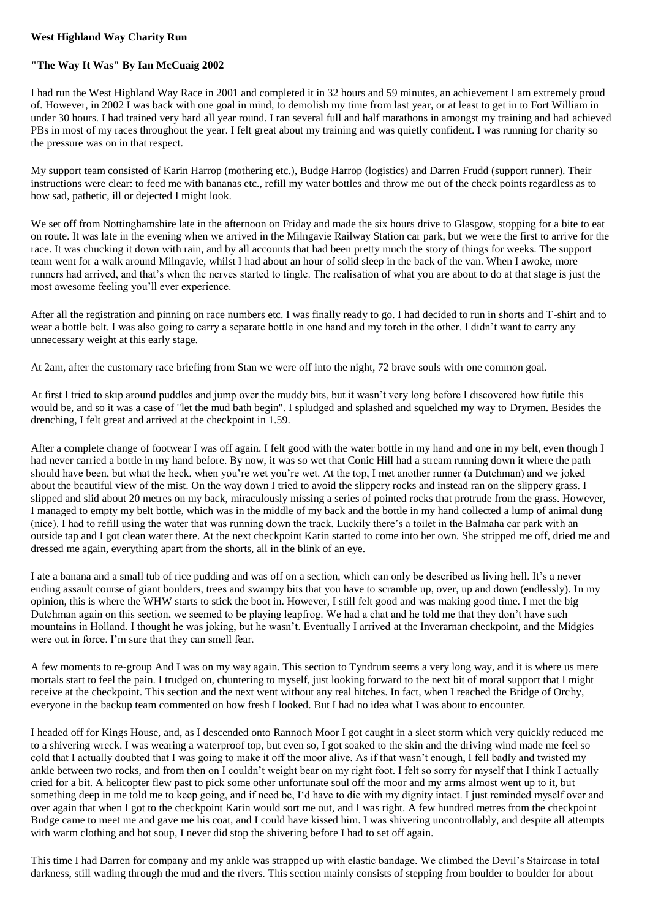## **West Highland Way Charity Run**

## **"The Way It Was" By Ian McCuaig 2002**

I had run the West Highland Way Race in 2001 and completed it in 32 hours and 59 minutes, an achievement I am extremely proud of. However, in 2002 I was back with one goal in mind, to demolish my time from last year, or at least to get in to Fort William in under 30 hours. I had trained very hard all year round. I ran several full and half marathons in amongst my training and had achieved PBs in most of my races throughout the year. I felt great about my training and was quietly confident. I was running for charity so the pressure was on in that respect.

My support team consisted of Karin Harrop (mothering etc.), Budge Harrop (logistics) and Darren Frudd (support runner). Their instructions were clear: to feed me with bananas etc., refill my water bottles and throw me out of the check points regardless as to how sad, pathetic, ill or dejected I might look.

We set off from Nottinghamshire late in the afternoon on Friday and made the six hours drive to Glasgow, stopping for a bite to eat on route. It was late in the evening when we arrived in the Milngavie Railway Station car park, but we were the first to arrive for the race. It was chucking it down with rain, and by all accounts that had been pretty much the story of things for weeks. The support team went for a walk around Milngavie, whilst I had about an hour of solid sleep in the back of the van. When I awoke, more runners had arrived, and that's when the nerves started to tingle. The realisation of what you are about to do at that stage is just the most awesome feeling you'll ever experience.

After all the registration and pinning on race numbers etc. I was finally ready to go. I had decided to run in shorts and T-shirt and to wear a bottle belt. I was also going to carry a separate bottle in one hand and my torch in the other. I didn't want to carry any unnecessary weight at this early stage.

At 2am, after the customary race briefing from Stan we were off into the night, 72 brave souls with one common goal.

At first I tried to skip around puddles and jump over the muddy bits, but it wasn't very long before I discovered how futile this would be, and so it was a case of "let the mud bath begin". I spludged and splashed and squelched my way to Drymen. Besides the drenching, I felt great and arrived at the checkpoint in 1.59.

After a complete change of footwear I was off again. I felt good with the water bottle in my hand and one in my belt, even though I had never carried a bottle in my hand before. By now, it was so wet that Conic Hill had a stream running down it where the path should have been, but what the heck, when you're wet you're wet. At the top, I met another runner (a Dutchman) and we joked about the beautiful view of the mist. On the way down I tried to avoid the slippery rocks and instead ran on the slippery grass. I slipped and slid about 20 metres on my back, miraculously missing a series of pointed rocks that protrude from the grass. However, I managed to empty my belt bottle, which was in the middle of my back and the bottle in my hand collected a lump of animal dung (nice). I had to refill using the water that was running down the track. Luckily there's a toilet in the Balmaha car park with an outside tap and I got clean water there. At the next checkpoint Karin started to come into her own. She stripped me off, dried me and dressed me again, everything apart from the shorts, all in the blink of an eye.

I ate a banana and a small tub of rice pudding and was off on a section, which can only be described as living hell. It's a never ending assault course of giant boulders, trees and swampy bits that you have to scramble up, over, up and down (endlessly). In my opinion, this is where the WHW starts to stick the boot in. However, I still felt good and was making good time. I met the big Dutchman again on this section, we seemed to be playing leapfrog. We had a chat and he told me that they don't have such mountains in Holland. I thought he was joking, but he wasn't. Eventually I arrived at the Inverarnan checkpoint, and the Midgies were out in force. I'm sure that they can smell fear.

A few moments to re-group And I was on my way again. This section to Tyndrum seems a very long way, and it is where us mere mortals start to feel the pain. I trudged on, chuntering to myself, just looking forward to the next bit of moral support that I might receive at the checkpoint. This section and the next went without any real hitches. In fact, when I reached the Bridge of Orchy, everyone in the backup team commented on how fresh I looked. But I had no idea what I was about to encounter.

I headed off for Kings House, and, as I descended onto Rannoch Moor I got caught in a sleet storm which very quickly reduced me to a shivering wreck. I was wearing a waterproof top, but even so, I got soaked to the skin and the driving wind made me feel so cold that I actually doubted that I was going to make it off the moor alive. As if that wasn't enough, I fell badly and twisted my ankle between two rocks, and from then on I couldn't weight bear on my right foot. I felt so sorry for myself that I think I actually cried for a bit. A helicopter flew past to pick some other unfortunate soul off the moor and my arms almost went up to it, but something deep in me told me to keep going, and if need be, I'd have to die with my dignity intact. I just reminded myself over and over again that when I got to the checkpoint Karin would sort me out, and I was right. A few hundred metres from the checkpoint Budge came to meet me and gave me his coat, and I could have kissed him. I was shivering uncontrollably, and despite all attempts with warm clothing and hot soup. I never did stop the shivering before I had to set off again.

This time I had Darren for company and my ankle was strapped up with elastic bandage. We climbed the Devil's Staircase in total darkness, still wading through the mud and the rivers. This section mainly consists of stepping from boulder to boulder for about